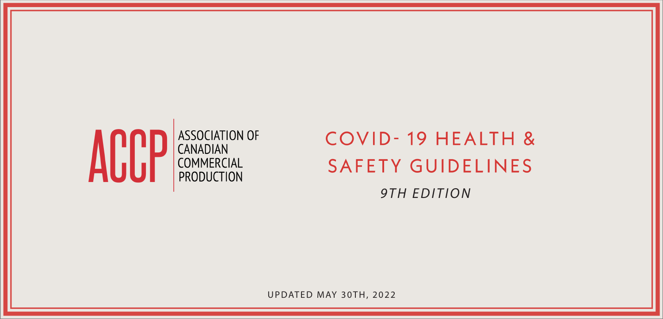

# COVID-19 HEALTH & **SAFETY GUIDELINES**

*9TH EDITION*

UPDATED MAY 30TH, 2022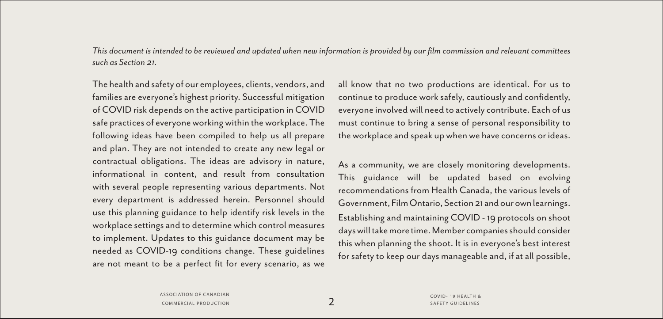*This document is intended to be reviewed and updated when new information is provided by our film commission and relevant committees such as Section 21.*

The health and safety of our employees, clients, vendors, and families are everyone's highest priority. Successful mitigation of COVID risk depends on the active participation in COVID safe practices of everyone working within the workplace. The following ideas have been compiled to help us all prepare and plan. They are not intended to create any new legal or contractual obligations. The ideas are advisory in nature, informational in content, and result from consultation with several people representing various departments. Not every department is addressed herein. Personnel should use this planning guidance to help identify risk levels in the workplace settings and to determine which control measures to implement. Updates to this guidance document may be needed as COVID-19 conditions change. These guidelines are not meant to be a perfect fit for every scenario, as we

all know that no two productions are identical. For us to continue to produce work safely, cautiously and confidently, everyone involved will need to actively contribute. Each of us must continue to bring a sense of personal responsibility to the workplace and speak up when we have concerns or ideas.

As a community, we are closely monitoring developments. This guidance will be updated based on evolving recommendations from Health Canada, the various levels of Government, Film Ontario, Section 21 and our own learnings. Establishing and maintaining COVID - 19 protocols on shoot days will take more time. Member companies should consider this when planning the shoot. It is in everyone's best interest for safety to keep our days manageable and, if at all possible,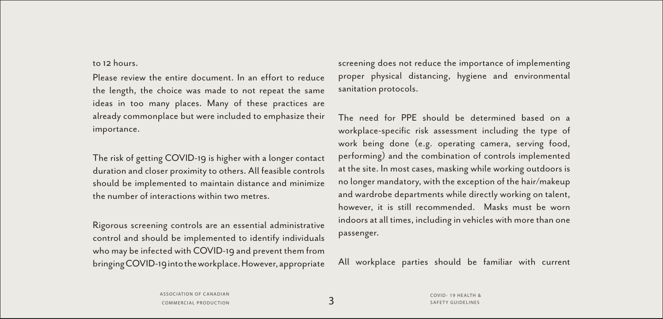#### to 12 hours.

Please review the entire document. In an effort to reduce the length, the choice was made to not repeat the same ideas in too many places. Many of these practices are already commonplace but were included to emphasize their importance.

The risk of getting COVID-19 is higher with a longer contact duration and closer proximity to others. All feasible controls should be implemented to maintain distance and minimize the number of interactions within two metres.

Rigorous screening controls are an essential administrative control and should be implemented to identify individuals who may be infected with COVID-19 and prevent them from bringing COVID-19 into the workplace. However, appropriate screening does not reduce the importance of implementing proper physical distancing, hygiene and environmental sanitation protocols.

The need for PPE should be determined based on a workplace-specific risk assessment including the type of work being done (e.g. operating camera, serving food, performing) and the combination of controls implemented at the site. In most cases, masking while working outdoors is no longer mandatory, with the exception of the hair/makeup and wardrobe departments while directly working on talent, however, it is still recommended. Masks must be worn indoors at all times, including in vehicles with more than one passenger.

All workplace parties should be familiar with current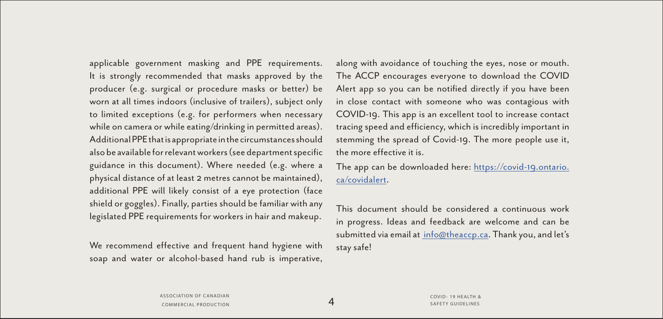applicable government masking and PPE requirements. It is strongly recommended that masks approved by the producer (e.g. surgical or procedure masks or better) be worn at all times indoors (inclusive of trailers), subject only to limited exceptions (e.g. for performers when necessary while on camera or while eating/drinking in permitted areas). Additional PPE that is appropriate in the circumstances should also be available for relevant workers (see department specific guidance in this document). Where needed (e.g. where a physical distance of at least 2 metres cannot be maintained), additional PPE will likely consist of a eye protection (face shield or goggles). Finally, parties should be familiar with any legislated PPE requirements for workers in hair and makeup.

We recommend effective and frequent hand hygiene with soap and water or alcohol-based hand rub is imperative,

along with avoidance of touching the eyes, nose or mouth. The ACCP encourages everyone to download the COVID Alert app so you can be notified directly if you have been in close contact with someone who was contagious with COVID-19. This app is an excellent tool to increase contact tracing speed and efficiency, which is incredibly important in stemming the spread of Covid-19. The more people use it, the more effective it is.

The app can be downloaded here: [https://covid-19.ontario.](https://covid-19.ontario.ca/covidalert) [ca/covidalert.](https://covid-19.ontario.ca/covidalert)

This document should be considered a continuous work in progress. Ideas and feedback are welcome and can be submitted via email at [info@theaccp.ca](mailto: info@theaccp.ca). Thank you, and let's stay safe!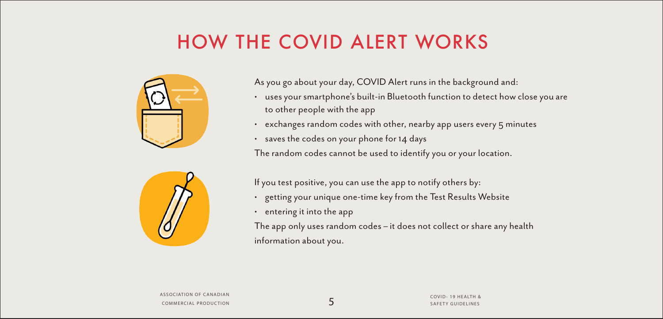# HOW THE COVID ALERT WORKS



As you go about your day, COVID Alert runs in the background and:

- uses your smartphone's built-in Bluetooth function to detect how close you are to other people with the app
- exchanges random codes with other, nearby app users every 5 minutes
- saves the codes on your phone for 14 days

The random codes cannot be used to identify you or your location.



If you test positive, you can use the app to notify others by:

- getting your unique one-time key from the Test Results Website
- entering it into the app

The app only uses random codes – it does not collect or share any health information about you.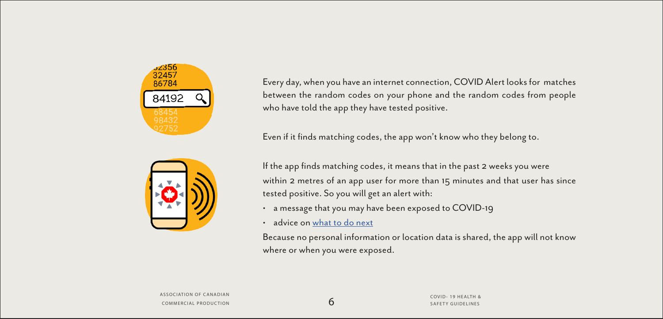

Every day, when you have an internet connection, COVID Alert looks for matches between the random codes on your phone and the random codes from people who have told the app they have tested positive.

Even if it finds matching codes, the app won't know who they belong to.

If the app finds matching codes, it means that in the past 2 weeks you were within 2 metres of an app user for more than 15 minutes and that user has since tested positive. So you will get an alert with:

- a message that you may have been exposed to COVID-19
- advice on [what to do next](http://what to do next )

Because no personal information or location data is shared, the app will not know where or when you were exposed.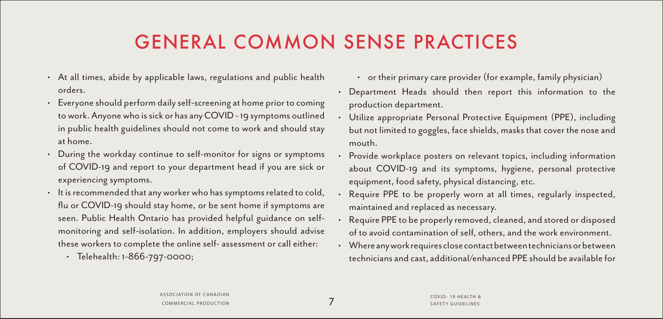# GENERAL COMMON SENSE PRACTICES

- At all times, abide by applicable laws, regulations and public health orders.
- Everyone should perform daily self-screening at home prior to coming to work. Anyone who is sick or has any COVID - 19 symptoms outlined in public health guidelines should not come to work and should stay at home.
- During the workday continue to self-monitor for signs or symptoms of COVID-19 and report to your department head if you are sick or experiencing symptoms.
- It is recommended that any worker who has symptoms related to cold, flu or COVID-19 should stay home, or be sent home if symptoms are seen. Public Health Ontario has provided helpful guidance on selfmonitoring and self-isolation. In addition, employers should advise these workers to complete the online self- assessment or call either:
	- Telehealth: 1-866-797-0000;
- or their primary care provider (for example, family physician)
- Department Heads should then report this information to the production department.
- Utilize appropriate Personal Protective Equipment (PPE), including but not limited to goggles, face shields, masks that cover the nose and mouth.
- Provide workplace posters on relevant topics, including information about COVID-19 and its symptoms, hygiene, personal protective equipment, food safety, physical distancing, etc.
- Require PPE to be properly worn at all times, regularly inspected, maintained and replaced as necessary.
- Require PPE to be properly removed, cleaned, and stored or disposed of to avoid contamination of self, others, and the work environment.
- Where any work requires close contact between technicians or between technicians and cast, additional/enhanced PPE should be available for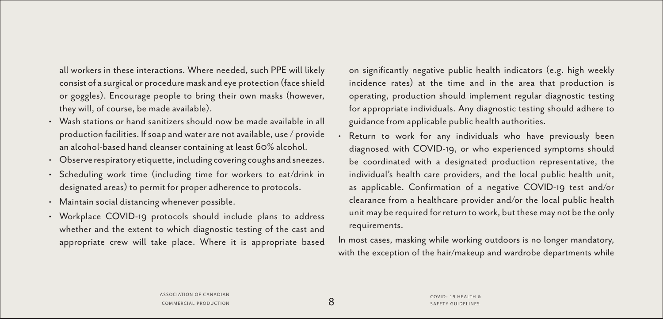all workers in these interactions. Where needed, such PPE will likely consist of a surgical or procedure mask and eye protection (face shield or goggles). Encourage people to bring their own masks (however, they will, of course, be made available).

- Wash stations or hand sanitizers should now be made available in all production facilities. If soap and water are not available, use / provide an alcohol-based hand cleanser containing at least 60% alcohol.
- Observe respiratory etiquette, including covering coughs and sneezes.
- Scheduling work time (including time for workers to eat/drink in designated areas) to permit for proper adherence to protocols.
- Maintain social distancing whenever possible.
- Workplace COVID-19 protocols should include plans to address whether and the extent to which diagnostic testing of the cast and appropriate crew will take place. Where it is appropriate based

on significantly negative public health indicators (e.g. high weekly incidence rates) at the time and in the area that production is operating, production should implement regular diagnostic testing for appropriate individuals. Any diagnostic testing should adhere to guidance from applicable public health authorities.

Return to work for any individuals who have previously been diagnosed with COVID-19, or who experienced symptoms should be coordinated with a designated production representative, the individual's health care providers, and the local public health unit, as applicable. Confirmation of a negative COVID-19 test and/or clearance from a healthcare provider and/or the local public health unit may be required for return to work, but these may not be the only requirements.

In most cases, masking while working outdoors is no longer mandatory, with the exception of the hair/makeup and wardrobe departments while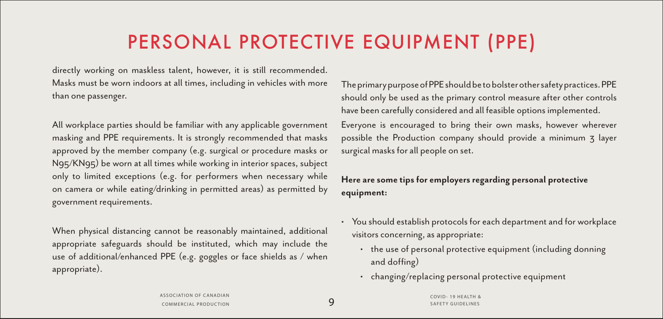# PERSONAL PROTECTIVE EQUIPMENT (PPE)

directly working on maskless talent, however, it is still recommended. Masks must be worn indoors at all times, including in vehicles with more than one passenger.

All workplace parties should be familiar with any applicable government masking and PPE requirements. It is strongly recommended that masks approved by the member company (e.g. surgical or procedure masks or N95/KN95) be worn at all times while working in interior spaces, subject only to limited exceptions (e.g. for performers when necessary while on camera or while eating/drinking in permitted areas) as permitted by government requirements.

When physical distancing cannot be reasonably maintained, additional appropriate safeguards should be instituted, which may include the use of additional/enhanced PPE (e.g. goggles or face shields as / when appropriate).

The primary purpose of PPE should be to bolster other safety practices. PPE should only be used as the primary control measure after other controls have been carefully considered and all feasible options implemented. Everyone is encouraged to bring their own masks, however wherever possible the Production company should provide a minimum 3 layer

**Here are some tips for employers regarding personal protective equipment:**

surgical masks for all people on set.

- You should establish protocols for each department and for workplace visitors concerning, as appropriate:
	- the use of personal protective equipment (including donning and doffing)
	- changing/replacing personal protective equipment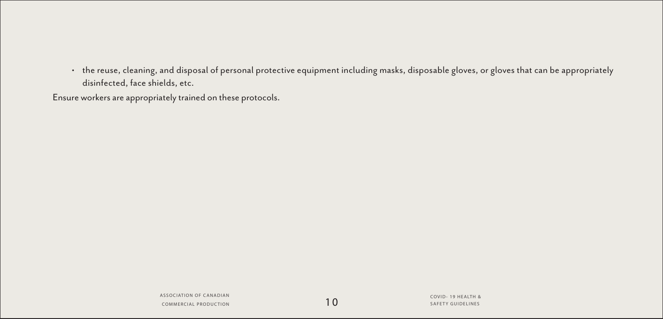• the reuse, cleaning, and disposal of personal protective equipment including masks, disposable gloves, or gloves that can be appropriately disinfected, face shields, etc.

Ensure workers are appropriately trained on these protocols.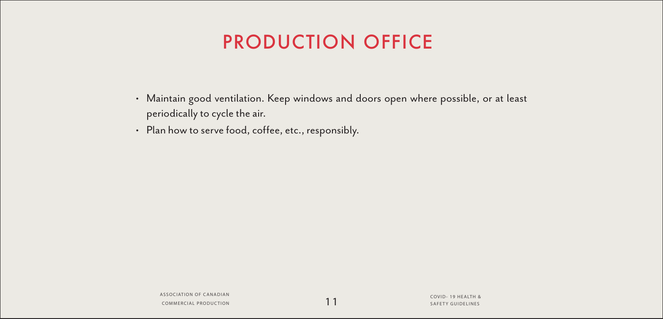# PRODUCTION OFFICE

- Maintain good ventilation. Keep windows and doors open where possible, or at least periodically to cycle the air.
- Plan how to serve food, coffee, etc., responsibly.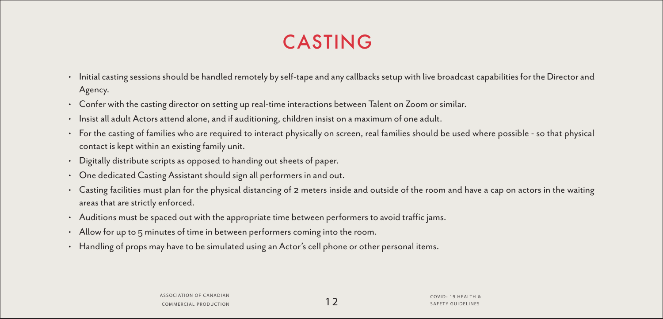# CASTING

- Initial casting sessions should be handled remotely by self-tape and any callbacks setup with live broadcast capabilities for the Director and Agency.
- Confer with the casting director on setting up real-time interactions between Talent on Zoom or similar.
- Insist all adult Actors attend alone, and if auditioning, children insist on a maximum of one adult.
- For the casting of families who are required to interact physically on screen, real families should be used where possible so that physical contact is kept within an existing family unit.
- Digitally distribute scripts as opposed to handing out sheets of paper.
- One dedicated Casting Assistant should sign all performers in and out.
- Casting facilities must plan for the physical distancing of 2 meters inside and outside of the room and have a cap on actors in the waiting areas that are strictly enforced.
- Auditions must be spaced out with the appropriate time between performers to avoid traffic jams.
- Allow for up to 5 minutes of time in between performers coming into the room.
- Handling of props may have to be simulated using an Actor's cell phone or other personal items.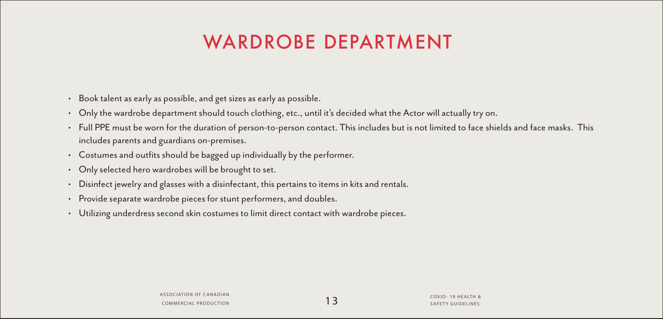# WARDROBE DEPARTMENT

- Book talent as early as possible, and get sizes as early as possible.
- Only the wardrobe department should touch clothing, etc., until it's decided what the Actor will actually try on.
- Full PPE must be worn for the duration of person-to-person contact. This includes but is not limited to face shields and face masks. This includes parents and guardians on-premises.
- Costumes and outfits should be bagged up individually by the performer.
- Only selected hero wardrobes will be brought to set.
- Disinfect jewelry and glasses with a disinfectant, this pertains to items in kits and rentals.
- Provide separate wardrobe pieces for stunt performers, and doubles.
- Utilizing underdress second skin costumes to limit direct contact with wardrobe pieces.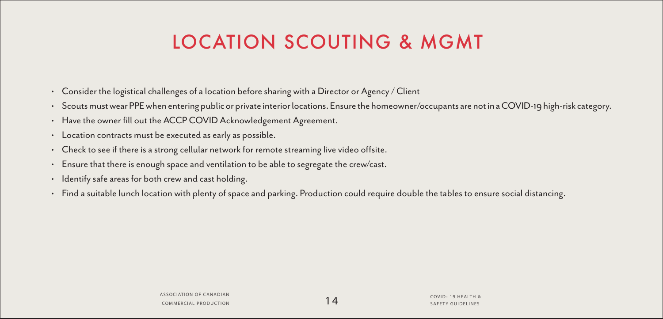# LOCATION SCOUTING & MGMT

- Consider the logistical challenges of a location before sharing with a Director or Agency / Client
- Scouts must wear PPE when entering public or private interior locations. Ensure the homeowner/occupants are not in a COVID-19 high-risk category.
- Have the owner fill out the ACCP COVID Acknowledgement Agreement.
- Location contracts must be executed as early as possible.
- Check to see if there is a strong cellular network for remote streaming live video offsite.
- Ensure that there is enough space and ventilation to be able to segregate the crew/cast.
- Identify safe areas for both crew and cast holding.
- Find a suitable lunch location with plenty of space and parking. Production could require double the tables to ensure social distancing.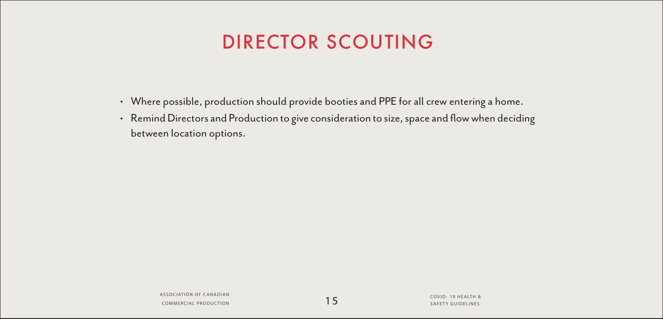## DIRECTOR SCOUTING

- Where possible, production should provide booties and PPE for all crew entering a home.
- Remind Directors and Production to give consideration to size, space and flow when deciding between location options.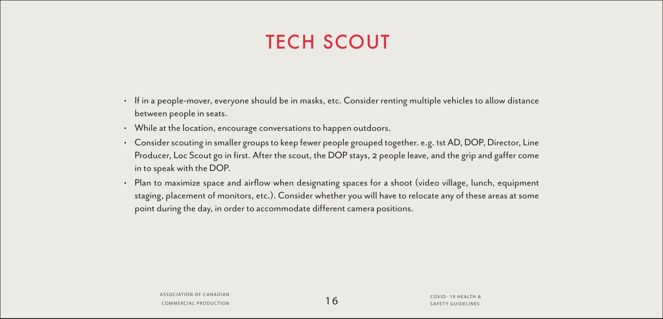# **TECH SCOUT**

- If in a people-mover, everyone should be in masks, etc. Consider renting multiple vehicles to allow distance between people in seats.
- While at the location, encourage conversations to happen outdoors.
- Consider scouting in smaller groups to keep fewer people grouped together. e.g. 1st AD, DOP, Director, Line Producer, Loc Scout go in first. After the scout, the DOP stays, 2 people leave, and the grip and gaffer come in to speak with the DOP.
- Plan to maximize space and airflow when designating spaces for a shoot (video village, lunch, equipment staging, placement of monitors, etc.). Consider whether you will have to relocate any of these areas at some point during the day, in order to accommodate different camera positions.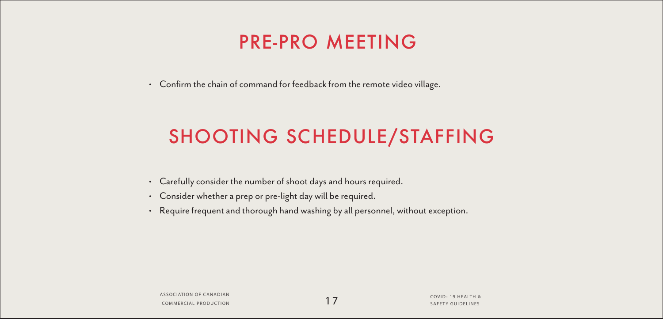### PRE-PRO MEETING

• Confirm the chain of command for feedback from the remote video village.

# SHOOTING SCHEDULE/STAFFING

- Carefully consider the number of shoot days and hours required.
- Consider whether a prep or pre-light day will be required.
- Require frequent and thorough hand washing by all personnel, without exception.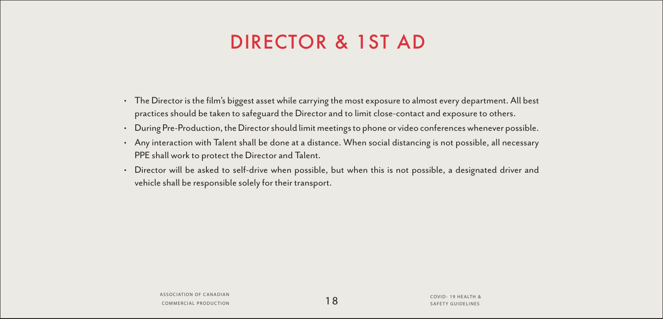## DIRECTOR & 1ST AD

- The Director is the film's biggest asset while carrying the most exposure to almost every department. All best practices should be taken to safeguard the Director and to limit close-contact and exposure to others.
- During Pre-Production, the Director should limit meetings to phone or video conferences whenever possible.
- Any interaction with Talent shall be done at a distance. When social distancing is not possible, all necessary PPE shall work to protect the Director and Talent.
- Director will be asked to self-drive when possible, but when this is not possible, a designated driver and vehicle shall be responsible solely for their transport.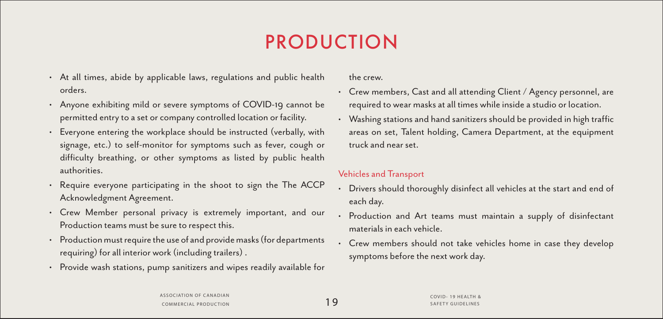# PRODUCTION

- At all times, abide by applicable laws, regulations and public health orders.
- Anyone exhibiting mild or severe symptoms of COVID-19 cannot be permitted entry to a set or company controlled location or facility.
- Everyone entering the workplace should be instructed (verbally, with signage, etc.) to self-monitor for symptoms such as fever, cough or difficulty breathing, or other symptoms as listed by public health authorities.
- Require everyone participating in the shoot to sign the The ACCP Acknowledgment Agreement.
- Crew Member personal privacy is extremely important, and our Production teams must be sure to respect this.
- Production must require the use of and provide masks (for departments requiring) for all interior work (including trailers) .
- Provide wash stations, pump sanitizers and wipes readily available for

the crew.

- Crew members, Cast and all attending Client / Agency personnel, are required to wear masks at all times while inside a studio or location.
- Washing stations and hand sanitizers should be provided in high traffic areas on set, Talent holding, Camera Department, at the equipment truck and near set.

#### Vehicles and Transport

- Drivers should thoroughly disinfect all vehicles at the start and end of each day.
- Production and Art teams must maintain a supply of disinfectant materials in each vehicle.
- Crew members should not take vehicles home in case they develop symptoms before the next work day.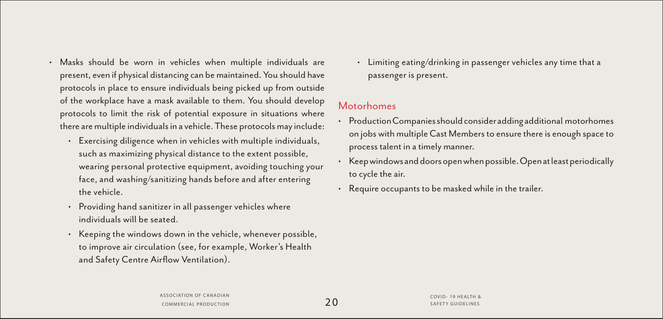- Masks should be worn in vehicles when multiple individuals are present, even if physical distancing can be maintained. You should have protocols in place to ensure individuals being picked up from outside of the workplace have a mask available to them. You should develop protocols to limit the risk of potential exposure in situations where there are multiple individuals in a vehicle. These protocols may include:
	- Exercising diligence when in vehicles with multiple individuals, such as maximizing physical distance to the extent possible, wearing personal protective equipment, avoiding touching your face, and washing/sanitizing hands before and after entering the vehicle.
	- Providing hand sanitizer in all passenger vehicles where individuals will be seated.
	- Keeping the windows down in the vehicle, whenever possible, to improve air circulation (see, for example, Worker's Health and Safety Centre Airflow Ventilation).

• Limiting eating/drinking in passenger vehicles any time that a passenger is present.

#### Motorhomes

- Production Companies should consider adding additional motorhomes on jobs with multiple Cast Members to ensure there is enough space to process talent in a timely manner.
- Keep windows and doors open when possible. Open at least periodically to cycle the air.
- Require occupants to be masked while in the trailer.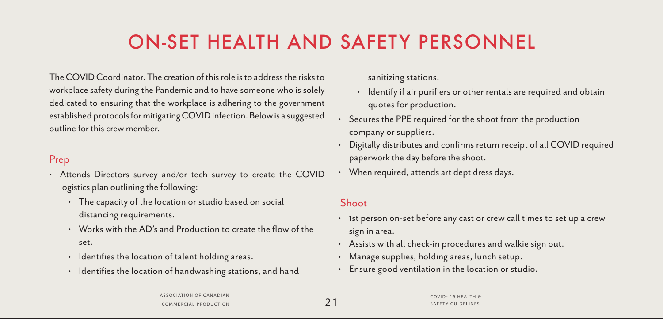# ON-SET HEALTH AND SAFETY PERSONNEL

The COVID Coordinator. The creation of this role is to address the risks to workplace safety during the Pandemic and to have someone who is solely dedicated to ensuring that the workplace is adhering to the government established protocols for mitigating COVID infection. Below is a suggested outline for this crew member.

#### Prep

- Attends Directors survey and/or tech survey to create the COVID logistics plan outlining the following:
	- The capacity of the location or studio based on social distancing requirements.
	- Works with the AD's and Production to create the flow of the set.
	- Identifies the location of talent holding areas.
	- Identifies the location of handwashing stations, and hand

sanitizing stations.

- Identify if air purifiers or other rentals are required and obtain quotes for production.
- Secures the PPE required for the shoot from the production company or suppliers.
- Digitally distributes and confirms return receipt of all COVID required paperwork the day before the shoot.
- When required, attends art dept dress days.

#### Shoot

- 1st person on-set before any cast or crew call times to set up a crew sign in area.
- Assists with all check-in procedures and walkie sign out.
- Manage supplies, holding areas, lunch setup.
- Ensure good ventilation in the location or studio.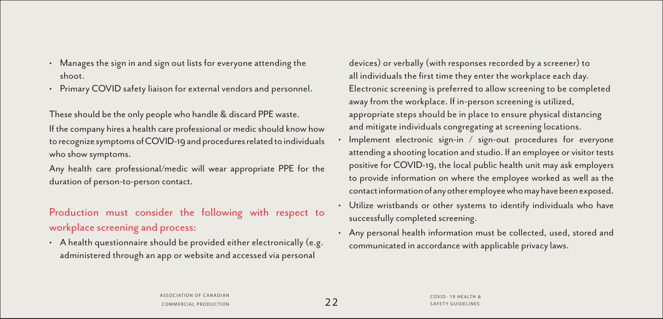- Manages the sign in and sign out lists for everyone attending the shoot.
- Primary COVID safety liaison for external vendors and personnel.

These should be the only people who handle & discard PPE waste. If the company hires a health care professional or medic should know how to recognize symptoms of COVID-19 and procedures related to individuals who show symptoms.

Any health care professional/medic will wear appropriate PPE for the duration of person-to-person contact.

### Production must consider the following with respect to workplace screening and process:

• A health questionnaire should be provided either electronically (e.g. administered through an app or website and accessed via personal

devices) or verbally (with responses recorded by a screener) to all individuals the first time they enter the workplace each day. Electronic screening is preferred to allow screening to be completed away from the workplace. If in-person screening is utilized, appropriate steps should be in place to ensure physical distancing and mitigate individuals congregating at screening locations.

- Implement electronic sign-in / sign-out procedures for everyone attending a shooting location and studio. If an employee or visitor tests positive for COVID-19, the local public health unit may ask employers to provide information on where the employee worked as well as the contact information of any other employee who may have been exposed.
- Utilize wristbands or other systems to identify individuals who have successfully completed screening.
- Any personal health information must be collected, used, stored and communicated in accordance with applicable privacy laws.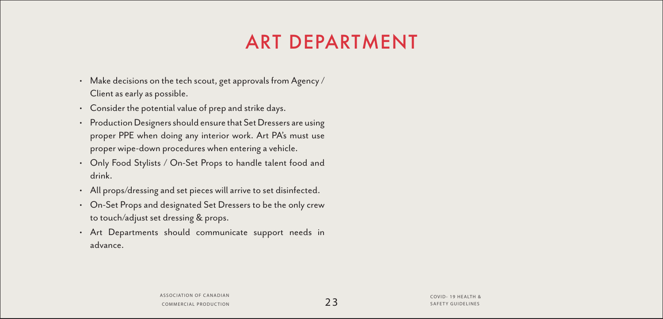# ART DEPARTMENT

- Make decisions on the tech scout, get approvals from Agency / Client as early as possible.
- Consider the potential value of prep and strike days.
- Production Designers should ensure that Set Dressers are using proper PPE when doing any interior work. Art PA's must use proper wipe-down procedures when entering a vehicle.
- Only Food Stylists / On-Set Props to handle talent food and drink.
- All props/dressing and set pieces will arrive to set disinfected.
- On-Set Props and designated Set Dressers to be the only crew to touch/adjust set dressing & props.
- Art Departments should communicate support needs in advance.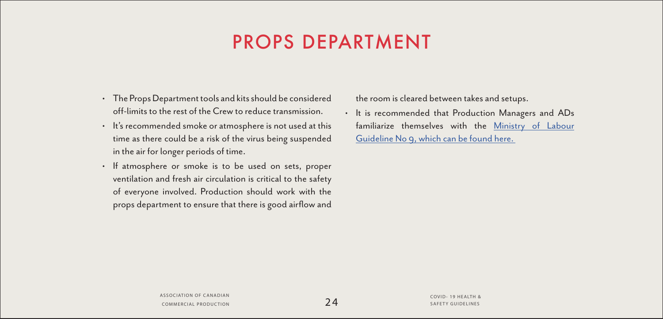## PROPS DEPARTMENT

- The Props Department tools and kits should be considered off-limits to the rest of the Crew to reduce transmission.
- It's recommended smoke or atmosphere is not used at this time as there could be a risk of the virus being suspended in the air for longer periods of time.
- If atmosphere or smoke is to be used on sets, proper ventilation and fresh air circulation is critical to the safety of everyone involved. Production should work with the props department to ensure that there is good airflow and

the room is cleared between takes and setups.

• It is recommended that Production Managers and ADs familiarize themselves with the [Ministry of Labour](http://Ministry of Labour Guideline No 9, which can be found here. ) [Guideline No 9, which can be found here.](http://Ministry of Labour Guideline No 9, which can be found here. )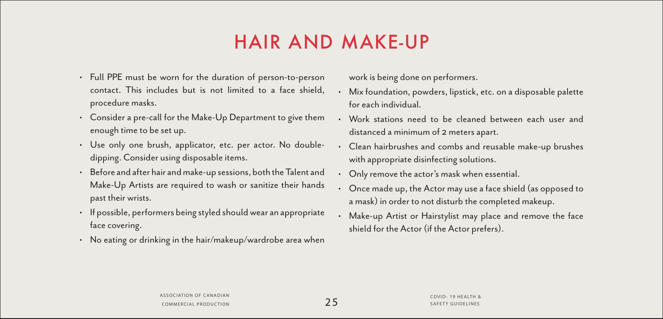# HAIR AND MAKE-UP

- Full PPE must be worn for the duration of person-to-person contact. This includes but is not limited to a face shield, procedure masks.
- Consider a pre-call for the Make-Up Department to give them enough time to be set up.
- Use only one brush, applicator, etc. per actor. No doubledipping. Consider using disposable items.
- Before and after hair and make-up sessions, both the Talent and Make-Up Artists are required to wash or sanitize their hands past their wrists.
- If possible, performers being styled should wear an appropriate face covering.
- No eating or drinking in the hair/makeup/wardrobe area when

work is being done on performers.

- Mix foundation, powders, lipstick, etc. on a disposable palette for each individual.
- Work stations need to be cleaned between each user and distanced a minimum of 2 meters apart.
- Clean hairbrushes and combs and reusable make-up brushes with appropriate disinfecting solutions.
- Only remove the actor's mask when essential.
- Once made up, the Actor may use a face shield (as opposed to a mask) in order to not disturb the completed makeup.
- Make-up Artist or Hairstylist may place and remove the face shield for the Actor (if the Actor prefers).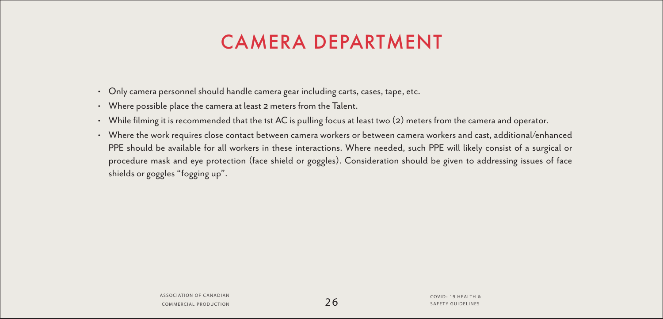# CAMERA DEPARTMENT

- Only camera personnel should handle camera gear including carts, cases, tape, etc.
- Where possible place the camera at least 2 meters from the Talent.
- While filming it is recommended that the 1st AC is pulling focus at least two (2) meters from the camera and operator.
- Where the work requires close contact between camera workers or between camera workers and cast, additional/enhanced PPE should be available for all workers in these interactions. Where needed, such PPE will likely consist of a surgical or procedure mask and eye protection (face shield or goggles). Consideration should be given to addressing issues of face shields or goggles "fogging up".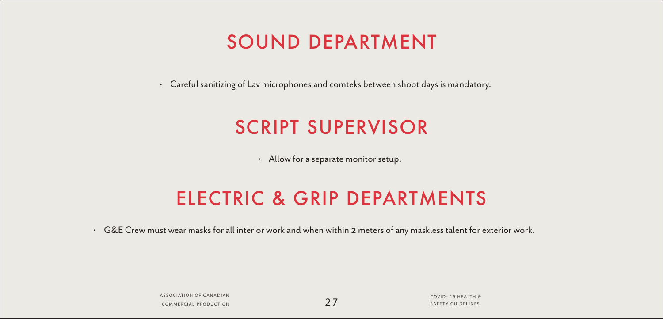### SOUND DEPARTMENT

• Careful sanitizing of Lav microphones and comteks between shoot days is mandatory.

### SCRIPT SUPERVISOR

• Allow for a separate monitor setup.

### ELECTRIC & GRIP DEPARTMENTS

• G&E Crew must wear masks for all interior work and when within 2 meters of any maskless talent for exterior work.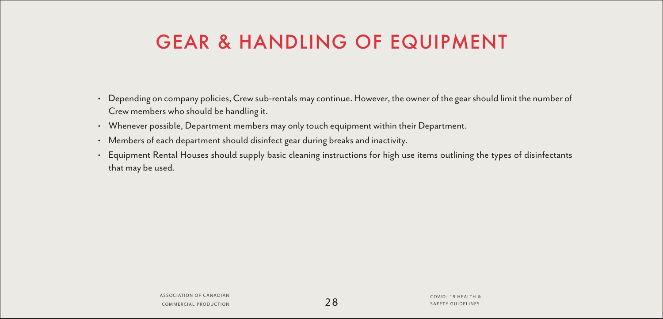## GEAR & HANDLING OF EQUIPMENT

- Depending on company policies, Crew sub-rentals may continue. However, the owner of the gear should limit the number of Crew members who should be handling it.
- Whenever possible, Department members may only touch equipment within their Department.
- Members of each department should disinfect gear during breaks and inactivity.
- Equipment Rental Houses should supply basic cleaning instructions for high use items outlining the types of disinfectants that may be used.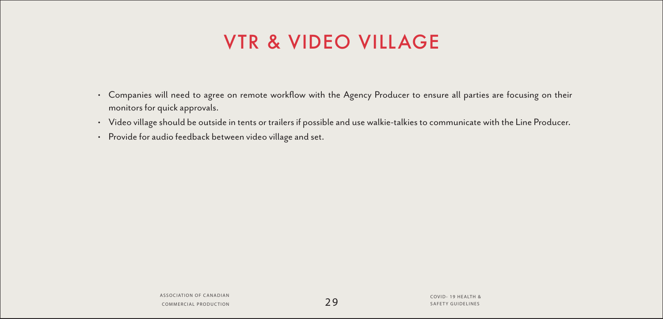# VTR & VIDEO VILLAGE

- Companies will need to agree on remote workflow with the Agency Producer to ensure all parties are focusing on their monitors for quick approvals.
- Video village should be outside in tents or trailers if possible and use walkie-talkies to communicate with the Line Producer.
- Provide for audio feedback between video village and set.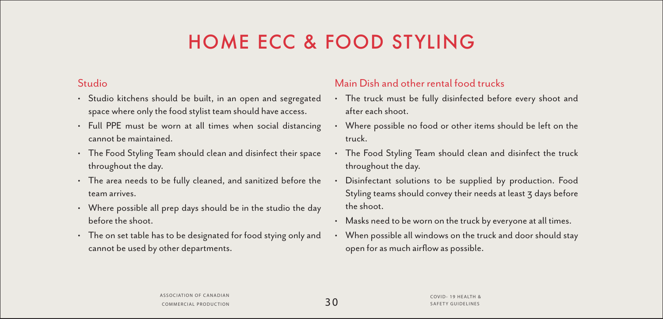# HOME ECC & FOOD STYLING

#### Studio

- Studio kitchens should be built, in an open and segregated space where only the food stylist team should have access.
- Full PPE must be worn at all times when social distancing cannot be maintained.
- The Food Styling Team should clean and disinfect their space throughout the day.
- The area needs to be fully cleaned, and sanitized before the team arrives.
- Where possible all prep days should be in the studio the day before the shoot.
- The on set table has to be designated for food stying only and cannot be used by other departments.

#### Main Dish and other rental food trucks

- The truck must be fully disinfected before every shoot and after each shoot.
- Where possible no food or other items should be left on the truck.
- The Food Styling Team should clean and disinfect the truck throughout the day.
- Disinfectant solutions to be supplied by production. Food Styling teams should convey their needs at least 3 days before the shoot.
- Masks need to be worn on the truck by everyone at all times.
- When possible all windows on the truck and door should stay open for as much airflow as possible.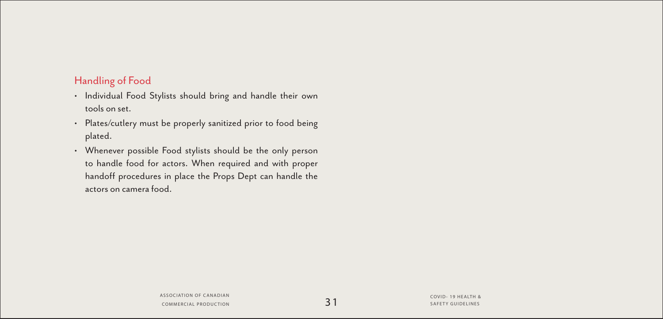#### Handling of Food

- Individual Food Stylists should bring and handle their own tools on set.
- Plates/cutlery must be properly sanitized prior to food being plated.
- Whenever possible Food stylists should be the only person to handle food for actors. When required and with proper handoff procedures in place the Props Dept can handle the actors on camera food.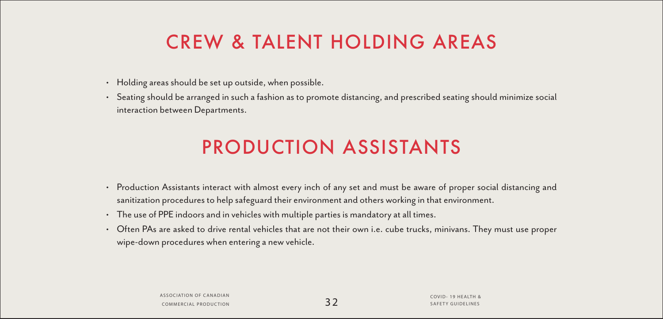# CREW & TALENT HOLDING AREAS

- Holding areas should be set up outside, when possible.
- Seating should be arranged in such a fashion as to promote distancing, and prescribed seating should minimize social interaction between Departments.

# PRODUCTION ASSISTANTS

- Production Assistants interact with almost every inch of any set and must be aware of proper social distancing and sanitization procedures to help safeguard their environment and others working in that environment.
- The use of PPE indoors and in vehicles with multiple parties is mandatory at all times.
- Often PAs are asked to drive rental vehicles that are not their own i.e. cube trucks, minivans. They must use proper wipe-down procedures when entering a new vehicle.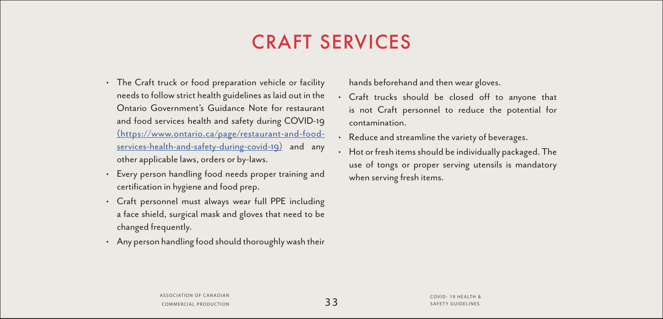## CRAFT SERVICES

- The Craft truck or food preparation vehicle or facility needs to follow strict health guidelines as laid out in the Ontario Government's Guidance Note for restaurant and food services health and safety during COVID-19 [\(https://www.ontario.ca/page/restaurant-and-food]((https://www.ontario.ca/page/restaurant-and-food-services-health-and-safety-during-covid-19))[services-health-and-safety-during-covid-19\)]((https://www.ontario.ca/page/restaurant-and-food-services-health-and-safety-during-covid-19)) and any other applicable laws, orders or by-laws.
- Every person handling food needs proper training and certification in hygiene and food prep.
- Craft personnel must always wear full PPE including a face shield, surgical mask and gloves that need to be changed frequently.
- Any person handling food should thoroughly wash their

hands beforehand and then wear gloves.

- Craft trucks should be closed off to anyone that is not Craft personnel to reduce the potential for contamination.
- Reduce and streamline the variety of beverages.
- Hot or fresh items should be individually packaged. The use of tongs or proper serving utensils is mandatory when serving fresh items.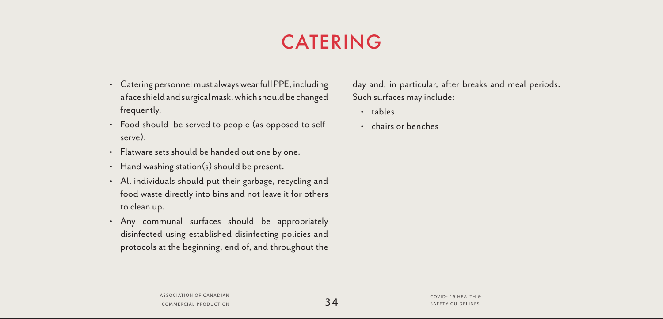# CATERING

- Catering personnel must always wear full PPE, including a face shield and surgical mask, which should be changed frequently.
- Food should be served to people (as opposed to selfserve).
- Flatware sets should be handed out one by one.
- Hand washing station(s) should be present.
- All individuals should put their garbage, recycling and food waste directly into bins and not leave it for others to clean up.
- Any communal surfaces should be appropriately disinfected using established disinfecting policies and protocols at the beginning, end of, and throughout the

day and, in particular, after breaks and meal periods. Such surfaces may include:

- tables
- chairs or benches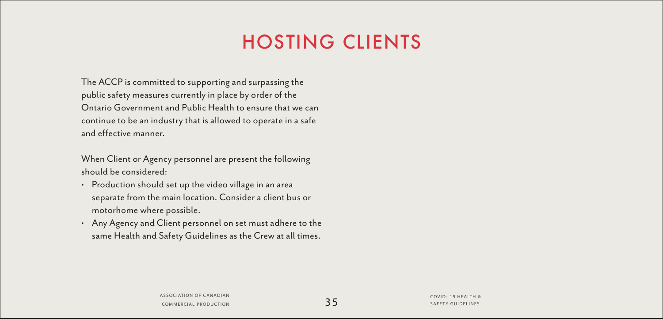# HOSTING CLIENTS

The ACCP is committed to supporting and surpassing the public safety measures currently in place by order of the Ontario Government and Public Health to ensure that we can continue to be an industry that is allowed to operate in a safe and effective manner.

When Client or Agency personnel are present the following should be considered:

- Production should set up the video village in an area separate from the main location. Consider a client bus or motorhome where possible.
- Any Agency and Client personnel on set must adhere to the same Health and Safety Guidelines as the Crew at all times.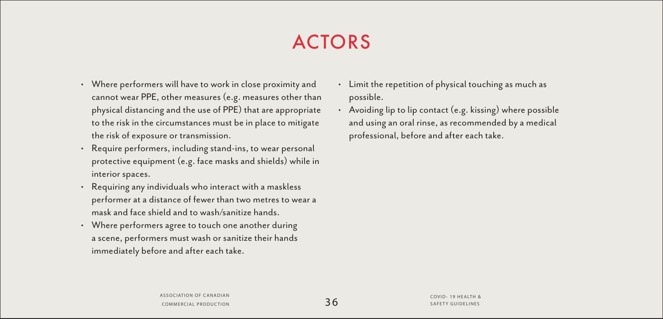# ACTORS

- Where performers will have to work in close proximity and cannot wear PPE, other measures (e.g. measures other than physical distancing and the use of PPE) that are appropriate to the risk in the circumstances must be in place to mitigate the risk of exposure or transmission.
- Require performers, including stand-ins, to wear personal protective equipment (e.g. face masks and shields) while in interior spaces.
- Requiring any individuals who interact with a maskless performer at a distance of fewer than two metres to wear a mask and face shield and to wash/sanitize hands.
- Where performers agree to touch one another during a scene, performers must wash or sanitize their hands immediately before and after each take.
- Limit the repetition of physical touching as much as possible.
- Avoiding lip to lip contact (e.g. kissing) where possible and using an oral rinse, as recommended by a medical professional, before and after each take.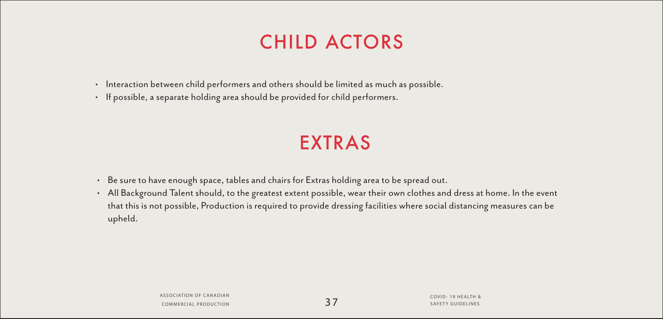# CHILD ACTORS

- Interaction between child performers and others should be limited as much as possible.
- If possible, a separate holding area should be provided for child performers.

# EXTRAS

- Be sure to have enough space, tables and chairs for Extras holding area to be spread out.
- All Background Talent should, to the greatest extent possible, wear their own clothes and dress at home. In the event that this is not possible, Production is required to provide dressing facilities where social distancing measures can be upheld.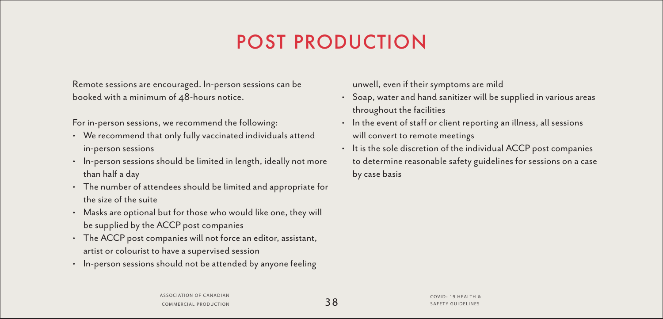# POST PRODUCTION

Remote sessions are encouraged. In-person sessions can be booked with a minimum of 48-hours notice.

For in-person sessions, we recommend the following:

- We recommend that only fully vaccinated individuals attend in-person sessions
- In-person sessions should be limited in length, ideally not more than half a day
- The number of attendees should be limited and appropriate for the size of the suite
- Masks are optional but for those who would like one, they will be supplied by the ACCP post companies
- The ACCP post companies will not force an editor, assistant, artist or colourist to have a supervised session
- In-person sessions should not be attended by anyone feeling

unwell, even if their symptoms are mild

- Soap, water and hand sanitizer will be supplied in various areas throughout the facilities
- In the event of staff or client reporting an illness, all sessions will convert to remote meetings
- It is the sole discretion of the individual ACCP post companies to determine reasonable safety guidelines for sessions on a case by case basis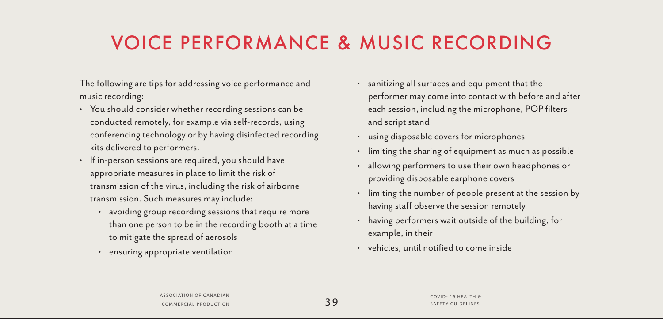# VOICE PERFORMANCE & MUSIC RECORDING

The following are tips for addressing voice performance and music recording:

- You should consider whether recording sessions can be conducted remotely, for example via self-records, using conferencing technology or by having disinfected recording kits delivered to performers.
- If in-person sessions are required, you should have appropriate measures in place to limit the risk of transmission of the virus, including the risk of airborne transmission. Such measures may include:
	- avoiding group recording sessions that require more than one person to be in the recording booth at a time to mitigate the spread of aerosols
	- ensuring appropriate ventilation
- sanitizing all surfaces and equipment that the performer may come into contact with before and after each session, including the microphone, POP filters and script stand
- using disposable covers for microphones
- limiting the sharing of equipment as much as possible
- allowing performers to use their own headphones or providing disposable earphone covers
- limiting the number of people present at the session by having staff observe the session remotely
- having performers wait outside of the building, for example, in their
- vehicles, until notified to come inside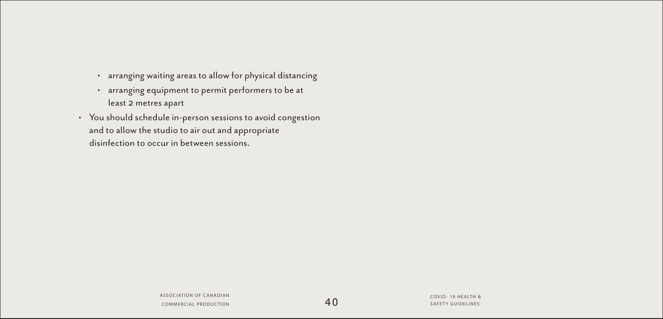- arranging waiting areas to allow for physical distancing
- arranging equipment to permit performers to be at least 2 metres apart
- You should schedule in-person sessions to avoid congestion and to allow the studio to air out and appropriate disinfection to occur in between sessions.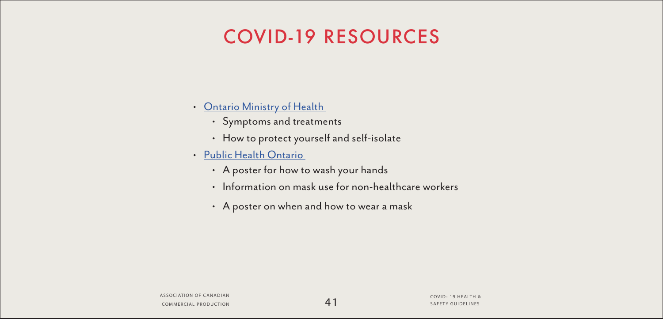## COVID-19 RESOURCES

- [Ontario Ministry of Health](http://Ontario Ministry of Health  ) 
	- Symptoms and treatments
	- How to protect yourself and self-isolate
- [Public Health Ontario](http://Public Health Ontario  ) 
	- A poster for how to wash your hands
	- Information on mask use for non-healthcare workers
	- A poster on when and how to wear a mask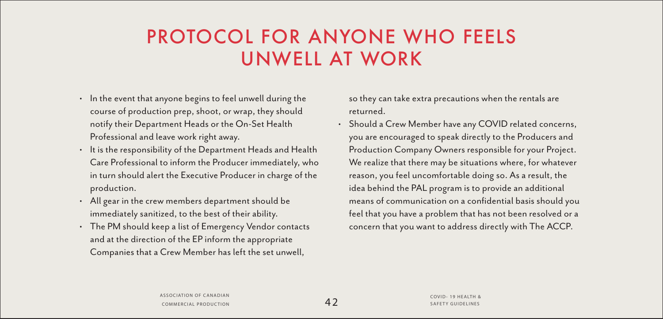### PROTOCOL FOR ANYONE WHO FEELS UNWELL AT WORK

- In the event that anyone begins to feel unwell during the course of production prep, shoot, or wrap, they should notify their Department Heads or the On-Set Health Professional and leave work right away.
- It is the responsibility of the Department Heads and Health Care Professional to inform the Producer immediately, who in turn should alert the Executive Producer in charge of the production.
- All gear in the crew members department should be immediately sanitized, to the best of their ability.
- The PM should keep a list of Emergency Vendor contacts and at the direction of the EP inform the appropriate Companies that a Crew Member has left the set unwell,

so they can take extra precautions when the rentals are returned.

• Should a Crew Member have any COVID related concerns, you are encouraged to speak directly to the Producers and Production Company Owners responsible for your Project. We realize that there may be situations where, for whatever reason, you feel uncomfortable doing so. As a result, the idea behind the PAL program is to provide an additional means of communication on a confidential basis should you feel that you have a problem that has not been resolved or a concern that you want to address directly with The ACCP.